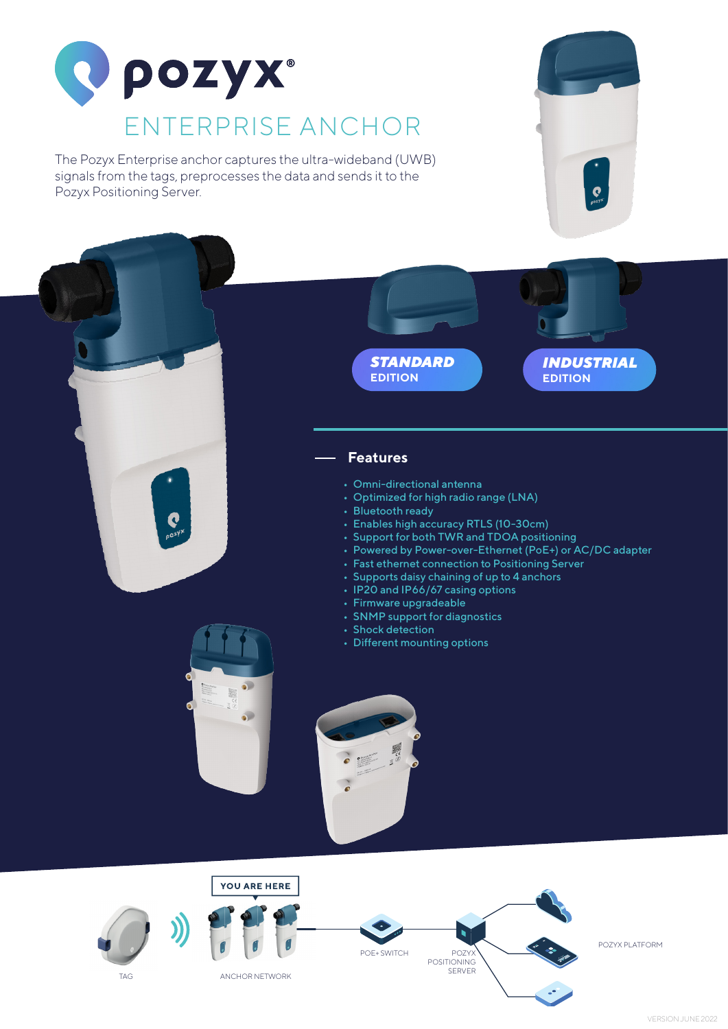

The Pozyx Enterprise anchor captures the ultra-wideband (UWB) signals from the tags, preprocesses the data and sends it to the Pozyx Positioning Server.







## **Features**

- Omni-directional antenna
- Optimized for high radio range (LNA)
- Bluetooth ready
- Enables high accuracy RTLS (10-30cm)
- Support for both TWR and TDOA positioning
- Powered by Power-over-Ethernet (PoE+) or AC/DC adapter
- Fast ethernet connection to Positioning Server
- Supports daisy chaining of up to 4 anchors
- IP20 and IP66/67 casing options
- Firmware upgradeable
- SNMP support for diagnostics
- Shock detection
- Different mounting options